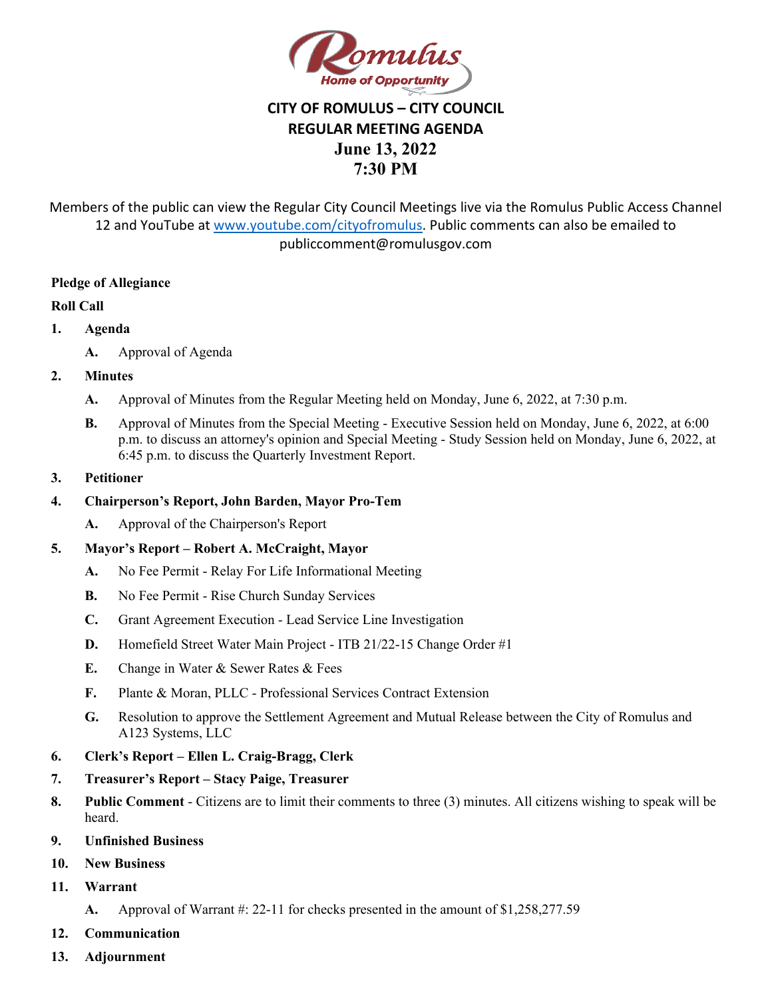

## **CITY OF ROMULUS – CITY COUNCIL REGULAR MEETING AGENDA June 13, 2022 7:30 PM**

Members of the public can view the Regular City Council Meetings live via the Romulus Public Access Channel 12 and YouTube at [www.youtube.com/cityofromulus](http://www.youtube.com/cityofromulus). Public comments can also be emailed to publiccomment@romulusgov.com

### **Pledge of Allegiance**

### **Roll Call**

- **1. Agenda** 
	- **A.** Approval of Agenda

### **2. Minutes**

- **A.** Approval of Minutes from the Regular Meeting held on Monday, June 6, 2022, at 7:30 p.m.
- **B.** Approval of Minutes from the Special Meeting Executive Session held on Monday, June 6, 2022, at 6:00 p.m. to discuss an attorney's opinion and Special Meeting - Study Session held on Monday, June 6, 2022, at 6:45 p.m. to discuss the Quarterly Investment Report.
- **3. Petitioner**

#### **4. Chairperson's Report, John Barden, Mayor Pro-Tem**

**A.** Approval of the Chairperson's Report

### **5. Mayor's Report – Robert A. McCraight, Mayor**

- **A.** No Fee Permit Relay For Life Informational Meeting
- **B.** No Fee Permit Rise Church Sunday Services
- **C.** Grant Agreement Execution Lead Service Line Investigation
- **D.** Homefield Street Water Main Project ITB 21/22-15 Change Order #1
- **E.** Change in Water & Sewer Rates & Fees
- **F.** Plante & Moran, PLLC Professional Services Contract Extension
- **G.** Resolution to approve the Settlement Agreement and Mutual Release between the City of Romulus and A123 Systems, LLC
- **6. Clerk's Report Ellen L. Craig-Bragg, Clerk**
- **7. Treasurer's Report Stacy Paige, Treasurer**
- **8. Public Comment**  Citizens are to limit their comments to three (3) minutes. All citizens wishing to speak will be heard.
- **9. Unfinished Business**
- **10. New Business**
- **11. Warrant** 
	- **A.** Approval of Warrant #: 22-11 for checks presented in the amount of \$1,258,277.59
- **12. Communication**
- **13. Adjournment**